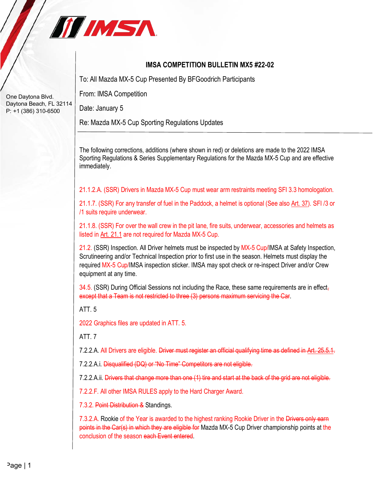

## **IMSA COMPETITION BULLETIN MX5 #22-02**

To: All Mazda MX-5 Cup Presented By BFGoodrich Participants

From: IMSA Competition

Date: January 5

Re: Mazda MX-5 Cup Sporting Regulations Updates

The following corrections, additions (where shown in red) or deletions are made to the 2022 IMSA Sporting Regulations & Series Supplementary Regulations for the Mazda MX-5 Cup and are effective immediately.

21.1.2.A. (SSR) Drivers in Mazda MX-5 Cup must wear arm restraints meeting SFI 3.3 homologation.

21.1.7. (SSR) For any transfer of fuel in the Paddock, a helmet is optional (See also Art. 37). SFI /3 or /1 suits require underwear.

21.1.8. (SSR) For over the wall crew in the pit lane, fire suits, underwear, accessories and helmets as listed in Art. 21.1 are not required for Mazda MX-5 Cup.

21.2. (SSR) Inspection. All Driver helmets must be inspected by MX-5 Cup/IMSA at Safety Inspection, Scrutineering and/or Technical Inspection prior to first use in the season. Helmets must display the required MX-5 Cup/IMSA inspection sticker. IMSA may spot check or re-inspect Driver and/or Crew equipment at any time.

 $34.5$ . (SSR) During Official Sessions not including the Race, these same requirements are in effect, except that a Team is not restricted to three (3) persons maximum servicing the Car.

ATT. 5

2022 Graphics files are updated in ATT. 5.

ATT. 7

7.2.2.A. All Drivers are eligible. Driver must register an official qualifying time as defined in Art.

7.2.2.A.i. Disqualified (DQ) or "No Time" Competitors are not eligible.

7.2.2.A.ii. Drivers that change more than one (1) tire and start at the back of the grid are not eligible.

7.2.2.F. All other IMSA RULES apply to the Hard Charger Award.

7.3.2. Point Distribution & Standings.

7.3.2.A. Rookie of the Year is awarded to the highest ranking Rookie Driver in the Drivers only earn points in the Car(s) in which they are eligible for Mazda MX-5 Cup Driver championship points at the conclusion of the season each Event entered.